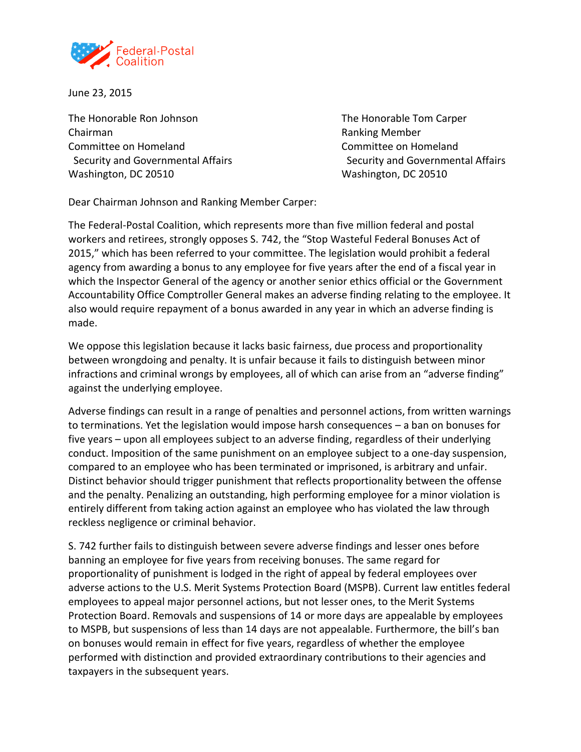

June 23, 2015

The Honorable Ron Johnson The Honorable Tom Carper Chairman Ranking Member Committee on Homeland Committee on Homeland Washington, DC 20510 Washington, DC 20510

Security and Governmental Affairs Security and Governmental Affairs Security and Governmental Affairs

Dear Chairman Johnson and Ranking Member Carper:

The Federal-Postal Coalition, which represents more than five million federal and postal workers and retirees, strongly opposes S. 742, the "Stop Wasteful Federal Bonuses Act of 2015," which has been referred to your committee. The legislation would prohibit a federal agency from awarding a bonus to any employee for five years after the end of a fiscal year in which the Inspector General of the agency or another senior ethics official or the Government Accountability Office Comptroller General makes an adverse finding relating to the employee. It also would require repayment of a bonus awarded in any year in which an adverse finding is made.

We oppose this legislation because it lacks basic fairness, due process and proportionality between wrongdoing and penalty. It is unfair because it fails to distinguish between minor infractions and criminal wrongs by employees, all of which can arise from an "adverse finding" against the underlying employee.

Adverse findings can result in a range of penalties and personnel actions, from written warnings to terminations. Yet the legislation would impose harsh consequences – a ban on bonuses for five years – upon all employees subject to an adverse finding, regardless of their underlying conduct. Imposition of the same punishment on an employee subject to a one-day suspension, compared to an employee who has been terminated or imprisoned, is arbitrary and unfair. Distinct behavior should trigger punishment that reflects proportionality between the offense and the penalty. Penalizing an outstanding, high performing employee for a minor violation is entirely different from taking action against an employee who has violated the law through reckless negligence or criminal behavior.

S. 742 further fails to distinguish between severe adverse findings and lesser ones before banning an employee for five years from receiving bonuses. The same regard for proportionality of punishment is lodged in the right of appeal by federal employees over adverse actions to the U.S. Merit Systems Protection Board (MSPB). Current law entitles federal employees to appeal major personnel actions, but not lesser ones, to the Merit Systems Protection Board. Removals and suspensions of 14 or more days are appealable by employees to MSPB, but suspensions of less than 14 days are not appealable. Furthermore, the bill's ban on bonuses would remain in effect for five years, regardless of whether the employee performed with distinction and provided extraordinary contributions to their agencies and taxpayers in the subsequent years.